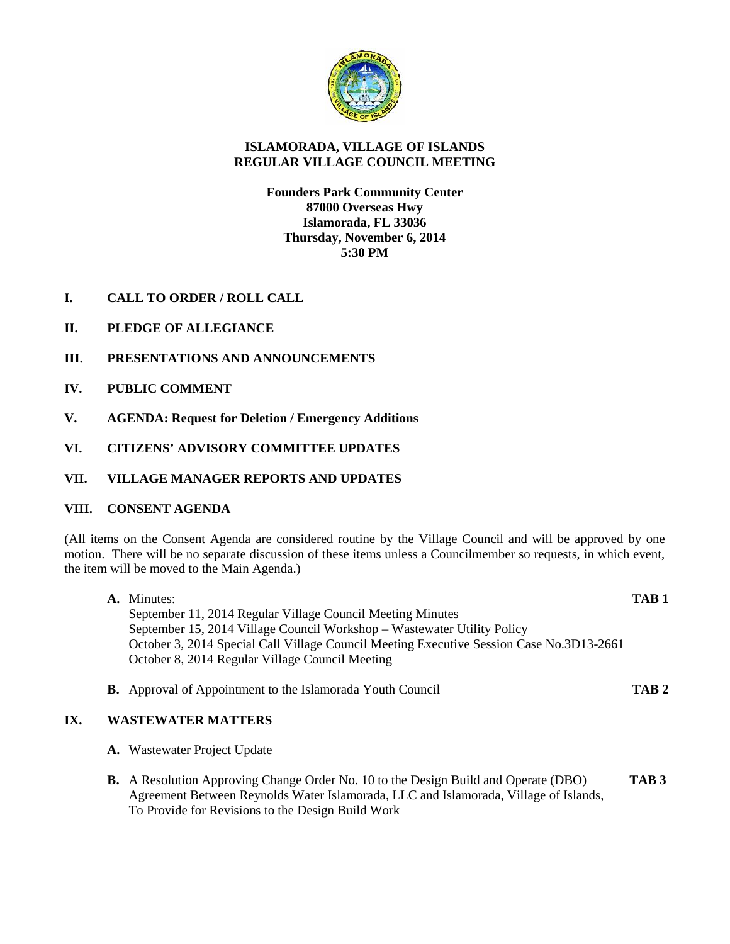

# **ISLAMORADA, VILLAGE OF ISLANDS REGULAR VILLAGE COUNCIL MEETING**

# **Founders Park Community Center 87000 Overseas Hwy Islamorada, FL 33036 Thursday, November 6, 2014 5:30 PM**

- **I. CALL TO ORDER / ROLL CALL**
- **II. PLEDGE OF ALLEGIANCE**
- **III. PRESENTATIONS AND ANNOUNCEMENTS**
- **IV. PUBLIC COMMENT**
- **V. AGENDA: Request for Deletion / Emergency Additions**
- **VI. CITIZENS' ADVISORY COMMITTEE UPDATES**
- **VII. VILLAGE MANAGER REPORTS AND UPDATES**

## **VIII. CONSENT AGENDA**

(All items on the Consent Agenda are considered routine by the Village Council and will be approved by one motion. There will be no separate discussion of these items unless a Councilmember so requests, in which event, the item will be moved to the Main Agenda.)

| <b>A.</b> Minutes:                                                                       | TAB <sub>1</sub> |
|------------------------------------------------------------------------------------------|------------------|
| September 11, 2014 Regular Village Council Meeting Minutes                               |                  |
| September 15, 2014 Village Council Workshop – Wastewater Utility Policy                  |                  |
| October 3, 2014 Special Call Village Council Meeting Executive Session Case No.3D13-2661 |                  |
| October 8, 2014 Regular Village Council Meeting                                          |                  |
|                                                                                          |                  |

**B.** Approval of Appointment to the Islamorada Youth Council **TAB 2**

## **IX. WASTEWATER MATTERS**

- **A.** Wastewater Project Update
- **B.** A Resolution Approving Change Order No. 10 to the Design Build and Operate (DBO) **TAB 3** Agreement Between Reynolds Water Islamorada, LLC and Islamorada, Village of Islands, To Provide for Revisions to the Design Build Work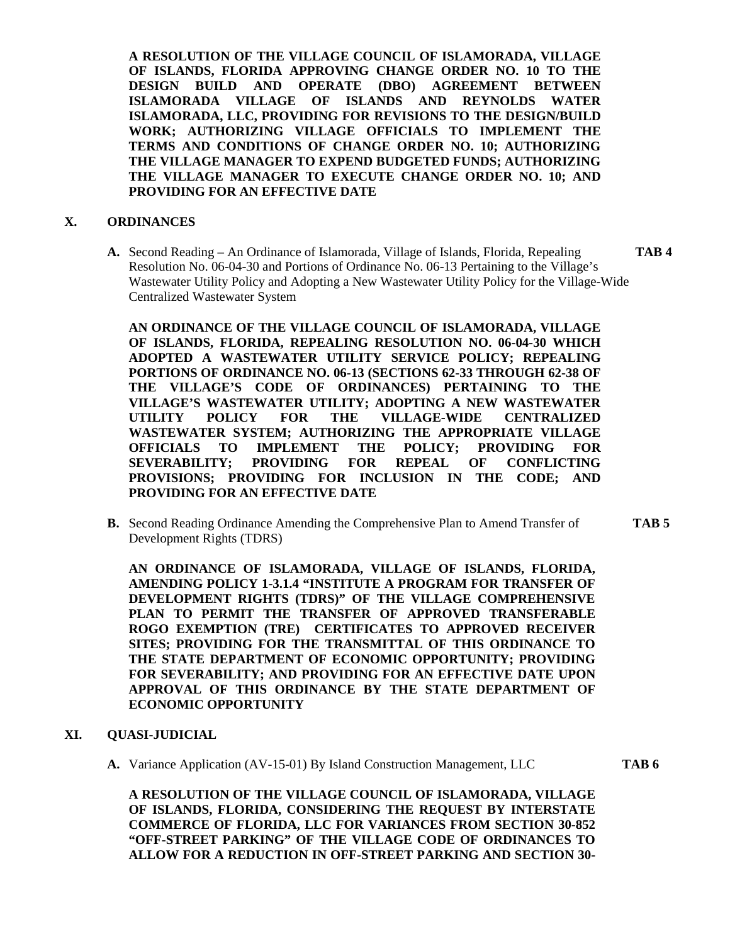**A RESOLUTION OF THE VILLAGE COUNCIL OF ISLAMORADA, VILLAGE OF ISLANDS, FLORIDA APPROVING CHANGE ORDER NO. 10 TO THE DESIGN BUILD AND OPERATE (DBO) AGREEMENT BETWEEN ISLAMORADA VILLAGE OF ISLANDS AND REYNOLDS WATER ISLAMORADA, LLC, PROVIDING FOR REVISIONS TO THE DESIGN/BUILD WORK; AUTHORIZING VILLAGE OFFICIALS TO IMPLEMENT THE TERMS AND CONDITIONS OF CHANGE ORDER NO. 10; AUTHORIZING THE VILLAGE MANAGER TO EXPEND BUDGETED FUNDS; AUTHORIZING THE VILLAGE MANAGER TO EXECUTE CHANGE ORDER NO. 10; AND PROVIDING FOR AN EFFECTIVE DATE**

### **X. ORDINANCES**

**A.** Second Reading – An Ordinance of Islamorada, Village of Islands, Florida, Repealing **TAB 4** Resolution No. 06-04-30 and Portions of Ordinance No. 06-13 Pertaining to the Village's Wastewater Utility Policy and Adopting a New Wastewater Utility Policy for the Village-Wide Centralized Wastewater System

**AN ORDINANCE OF THE VILLAGE COUNCIL OF ISLAMORADA, VILLAGE OF ISLANDS, FLORIDA, REPEALING RESOLUTION NO. 06-04-30 WHICH ADOPTED A WASTEWATER UTILITY SERVICE POLICY; REPEALING PORTIONS OF ORDINANCE NO. 06-13 (SECTIONS 62-33 THROUGH 62-38 OF THE VILLAGE'S CODE OF ORDINANCES) PERTAINING TO THE VILLAGE'S WASTEWATER UTILITY; ADOPTING A NEW WASTEWATER UTILITY POLICY FOR THE VILLAGE-WIDE CENTRALIZED WASTEWATER SYSTEM; AUTHORIZING THE APPROPRIATE VILLAGE OFFICIALS TO IMPLEMENT THE POLICY; PROVIDING FOR SEVERABILITY; PROVIDING FOR REPEAL OF CONFLICTING PROVISIONS; PROVIDING FOR INCLUSION IN THE CODE; AND PROVIDING FOR AN EFFECTIVE DATE**

**B.** Second Reading Ordinance Amending the Comprehensive Plan to Amend Transfer of **TAB 5** Development Rights (TDRS)

**AN ORDINANCE OF ISLAMORADA, VILLAGE OF ISLANDS, FLORIDA, AMENDING POLICY 1-3.1.4 "INSTITUTE A PROGRAM FOR TRANSFER OF DEVELOPMENT RIGHTS (TDRS)" OF THE VILLAGE COMPREHENSIVE PLAN TO PERMIT THE TRANSFER OF APPROVED TRANSFERABLE ROGO EXEMPTION (TRE) CERTIFICATES TO APPROVED RECEIVER SITES; PROVIDING FOR THE TRANSMITTAL OF THIS ORDINANCE TO THE STATE DEPARTMENT OF ECONOMIC OPPORTUNITY; PROVIDING FOR SEVERABILITY; AND PROVIDING FOR AN EFFECTIVE DATE UPON APPROVAL OF THIS ORDINANCE BY THE STATE DEPARTMENT OF ECONOMIC OPPORTUNITY**

# **XI. QUASI-JUDICIAL**

**A.** Variance Application (AV-15-01) By Island Construction Management, LLC **TAB 6**

**A RESOLUTION OF THE VILLAGE COUNCIL OF ISLAMORADA, VILLAGE OF ISLANDS, FLORIDA, CONSIDERING THE REQUEST BY INTERSTATE COMMERCE OF FLORIDA, LLC FOR VARIANCES FROM SECTION 30-852 "OFF-STREET PARKING" OF THE VILLAGE CODE OF ORDINANCES TO ALLOW FOR A REDUCTION IN OFF-STREET PARKING AND SECTION 30-**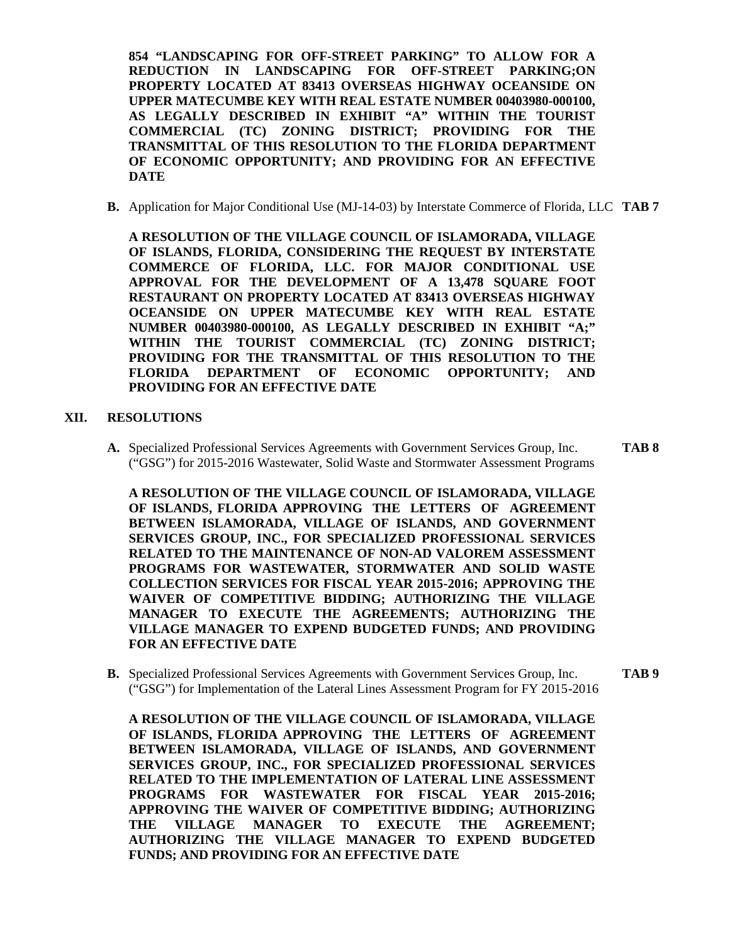**854 "LANDSCAPING FOR OFF-STREET PARKING" TO ALLOW FOR A REDUCTION IN LANDSCAPING FOR OFF-STREET PARKING;ON PROPERTY LOCATED AT 83413 OVERSEAS HIGHWAY OCEANSIDE ON UPPER MATECUMBE KEY WITH REAL ESTATE NUMBER 00403980-000100, AS LEGALLY DESCRIBED IN EXHIBIT "A" WITHIN THE TOURIST COMMERCIAL (TC) ZONING DISTRICT; PROVIDING FOR THE TRANSMITTAL OF THIS RESOLUTION TO THE FLORIDA DEPARTMENT OF ECONOMIC OPPORTUNITY; AND PROVIDING FOR AN EFFECTIVE DATE**

**B.** Application for Major Conditional Use (MJ-14-03) by Interstate Commerce of Florida, LLC **TAB 7**

**A RESOLUTION OF THE VILLAGE COUNCIL OF ISLAMORADA, VILLAGE OF ISLANDS, FLORIDA, CONSIDERING THE REQUEST BY INTERSTATE COMMERCE OF FLORIDA, LLC. FOR MAJOR CONDITIONAL USE APPROVAL FOR THE DEVELOPMENT OF A 13,478 SQUARE FOOT RESTAURANT ON PROPERTY LOCATED AT 83413 OVERSEAS HIGHWAY OCEANSIDE ON UPPER MATECUMBE KEY WITH REAL ESTATE NUMBER 00403980-000100, AS LEGALLY DESCRIBED IN EXHIBIT "A;" WITHIN THE TOURIST COMMERCIAL (TC) ZONING DISTRICT; PROVIDING FOR THE TRANSMITTAL OF THIS RESOLUTION TO THE FLORIDA DEPARTMENT OF ECONOMIC OPPORTUNITY; AND PROVIDING FOR AN EFFECTIVE DATE**

#### **XII. RESOLUTIONS**

**A.** Specialized Professional Services Agreements with Government Services Group, Inc. **TAB 8** ("GSG") for 2015-2016 Wastewater, Solid Waste and Stormwater Assessment Programs

**A RESOLUTION OF THE VILLAGE COUNCIL OF ISLAMORADA, VILLAGE OF ISLANDS, FLORIDA APPROVING THE LETTERS OF AGREEMENT BETWEEN ISLAMORADA, VILLAGE OF ISLANDS, AND GOVERNMENT SERVICES GROUP, INC., FOR SPECIALIZED PROFESSIONAL SERVICES RELATED TO THE MAINTENANCE OF NON-AD VALOREM ASSESSMENT PROGRAMS FOR WASTEWATER, STORMWATER AND SOLID WASTE COLLECTION SERVICES FOR FISCAL YEAR 2015-2016; APPROVING THE WAIVER OF COMPETITIVE BIDDING; AUTHORIZING THE VILLAGE MANAGER TO EXECUTE THE AGREEMENTS; AUTHORIZING THE VILLAGE MANAGER TO EXPEND BUDGETED FUNDS; AND PROVIDING FOR AN EFFECTIVE DATE**

**B.** Specialized Professional Services Agreements with Government Services Group, Inc. **TAB 9** ("GSG") for Implementation of the Lateral Lines Assessment Program for FY 2015-2016

**A RESOLUTION OF THE VILLAGE COUNCIL OF ISLAMORADA, VILLAGE OF ISLANDS, FLORIDA APPROVING THE LETTERS OF AGREEMENT BETWEEN ISLAMORADA, VILLAGE OF ISLANDS, AND GOVERNMENT SERVICES GROUP, INC., FOR SPECIALIZED PROFESSIONAL SERVICES RELATED TO THE IMPLEMENTATION OF LATERAL LINE ASSESSMENT PROGRAMS FOR WASTEWATER FOR FISCAL YEAR 2015-2016; APPROVING THE WAIVER OF COMPETITIVE BIDDING; AUTHORIZING THE VILLAGE MANAGER TO EXECUTE THE AGREEMENT; AUTHORIZING THE VILLAGE MANAGER TO EXPEND BUDGETED FUNDS; AND PROVIDING FOR AN EFFECTIVE DATE**